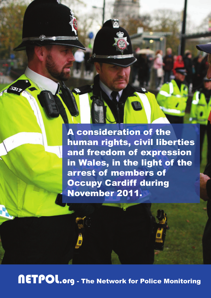A consideration of the human rights, civil liberties and freedom of expression in Wales, in the light of the arrest of members of Occupy Cardiff during November 2011.

331

NETPOL.org - The Network for Police Monitoring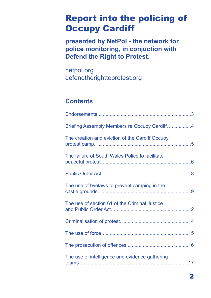# Report into the policing of Occupy Cardiff

**presented by NetPol - the network for police monitoring, in conjuction with Defend the Right to Protest.**

netpol.org defendtherighttoprotest.org

## **Contents**

| Briefing Assembly Members re Occupy Cardiff. 4  |  |
|-------------------------------------------------|--|
| The creation and eviction of the Cardiff Occupy |  |
| The failure of South Wales Police to facilitate |  |
|                                                 |  |
| The use of byelaws to prevent camping in the    |  |
| The use of section 61 of the Criminal Justice   |  |
|                                                 |  |
|                                                 |  |
|                                                 |  |
| The use of intelligence and evidence gathering  |  |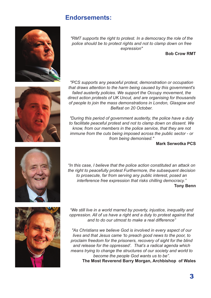#### **Endorsements:**



*"RMT supports the right to protest. In a democracy the role of the police should be to protect rights and not to clamp down on free expression"*

**Bob Crow RMT**



*"PCS supports any peaceful protest, demonstration or occupation that draws attention to the harm being caused by this government's failed austerity policies. We support the Occupy movement, the direct action protests of UK Uncut, and are organising for thousands of people to join the mass demonstrations in London, Glasgow and Belfast on 20 October.*

*"During this period of government austerity, the police have a duty to facilitate peaceful protest and not to clamp down on dissent. We know, from our members in the police service, that they are not immune from the cuts being imposed across the public sector - or from being demonised."*

**Mark Serwotka PCS**



*"In this case, I believe that the police action constituted an attack on the right to peacefully protest Furthermore, the subsequent decision to prosecute, far from serving any public interest, posed an interference free expression that risks chilling democracy."* **Tony Benn**



*"We still live in a world marred by poverty, injustice, inequality and oppression. All of us have a right and a duty to protest against that and to do our utmost to make a real difference"*

*"As Christians we believe God is involved in every aspect of our lives and that Jesus came 'to preach good news to the poor, to proclaim freedom for the prisoners, recovery of sight for the blind and release for the oppressed'. That's a radical agenda which means trying to change the structures of our society and world to become the people God wants us to be".* **The Most Reverend Barry Morgan, Archbishop of Wales**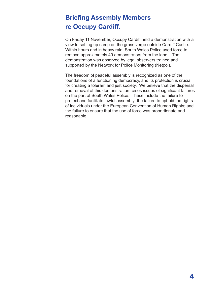## **Briefing Assembly Members re Occupy Cardiff.**

On Friday 11 November, Occupy Cardiff held a demonstration with a view to setting up camp on the grass verge outside Cardiff Castle. Within hours and in heavy rain, South Wales Police used force to remove approximately 40 demonstrators from the land. The demonstration was observed by legal observers trained and supported by the Network for Police Monitoring (Netpol).

The freedom of peaceful assembly is recognized as one of the foundations of a functioning democracy, and its protection is crucial for creating a tolerant and just society. We believe that the dispersal and removal of this demonstration raises issues of significant failures on the part of South Wales Police. These include the failure to protect and facilitate lawful assembly; the failure to uphold the rights of individuals under the European Convention of Human Rights; and the failure to ensure that the use of force was proportionate and reasonable.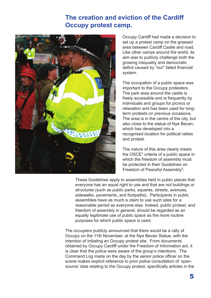### **The creation and eviction of the Cardiff Occupy protest camp.**



Occupy Cardiff had made a decision to set up a protest camp on the grassed area between Cardiff Castle and road. Like other camps around the world, its aim was to publicly challenge both the growing inequality and democratic deficit caused by "our" failed financial system.

The occupation of a public space was important to the Occupy protesters. The park area around the castle is freely accessible and is frequently by individuals and groups for picnics or relaxation and has been used for longterm protests on previous occasions. The area is in the centre of the city, but also close to the statue of Nye Bevan, which has developed into a recognised location for political rallies and protest.

The nature of this area clearly meets the OSCE**<sup>1</sup>** criteria of a public space in which the freedom of assembly must be protected in their Guidelines on Freedom of Peaceful Assembly**<sup>2</sup>**:

These Guidelines apply to assemblies held in public places that everyone has an equal right to use and that are not buildings or structures (such as public parks, squares, streets, avenues, sidewalks, pavements, and footpaths). Participants in public assemblies have as much a claim to use such sites for a reasonable period as everyone else. Indeed, public protest, and freedom of assembly in general, should be regarded as an equally legitimate use of public space as the more routine purposes for which public space is used.

The occupiers publicly announced that there would be a rally of Occupy on the 11th November, at the Nye Bevan Statue, with the intention of initiating an Occupy protest site. From documents obtained by Occupy Cardiff under the Freedom of Information act, it is clear that the police were aware of the group's intentions. The Command Log made on the day by the senior police officer on the scene makes explicit reference to prior police consultation of 'opensource' data relating to the Occupy protest, specifically articles in the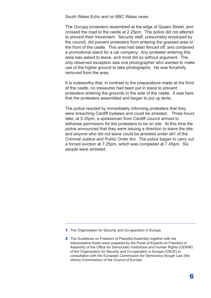South Wales Echo and on BBC Wales news.

The Occupy protesters assembled at the edge of Queen Street, and crossed the road to the castle at 2.25pm. The police did not attempt to prevent their movement. Security staff, presumably employed by the council, did prevent protesters from entering the grassed area to the front of the castle. This area had been fenced off, and contained a promotional stand for a car company. Any protester entering this area was asked to leave, and most did so without argument. The only observed exception was one photographer who wanted to make use of the higher ground to take photographs. He was forcefully removed from the area.

It is noteworthy that, in contrast to the preparations made at the front of the castle, no measures had been put in place to prevent protesters entering the grounds to the side of the castle. It was here that the protesters assembled and began to put up tents.

The police reacted by immediately informing protesters that they were breaching Cardiff byelaws and could be arrested. Three hours later, at 5.35pm, a spokesman from Cardiff council arrived to withdraw permission for the protesters to be on site. At this time the police announced that they were issuing a direction to leave the site, and anyone who did not leave could be arrested under s61 of the Criminal Justice and Public Order Act. The police began to carry out a forced eviction at 7.25pm, which was completed at 7.45pm. Six people were arrested.

<sup>1</sup> The Organisation for Security and Co-operation in Europe

<sup>2</sup> The Guidelines on Freedom of Peaceful Assembly together with the Interpretative Notes were prepared by the Panel of Experts on Freedom of Assembly of the Office for Democratic Institutions and Human Rights (ODIHR) of the Organization for Security and Co-operation in Europe (OSCE) in consultation with the European Commission for Democracy though Law (the Venice Commission) of the Council of Europe.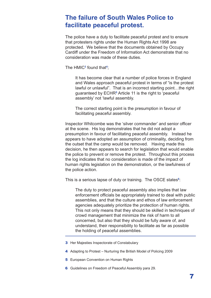#### **The failure of South Wales Police to facilitate peaceful protest.**

The police have a duty to facilitate peaceful protest and to ensure that protesters rights under the Human Rights Act 1998 are protected. We believe that the documents obtained by Occupy Cardiff under the Freedom of Information Act demonstrate that no consideration was made of these duties.

The HMIC**<sup>3</sup>** found that **4**;

It has become clear that a number of police forces in England and Wales approach peaceful protest in terms of "is the protest lawful or unlawful". That is an incorrect starting point…the right guaranteed by ECHR**<sup>5</sup>** Article 11 is the right to 'peaceful assembly' not 'lawful assembly.

The correct starting point is the presumption in favour of facilitating peaceful assembly.

Inspector Whitcombe was the 'silver commander' and senior officer at the scene. His log demonstrates that he did not adopt a presumption in favour of facilitating peaceful assembly. Instead he appears to have adopted an assumption of criminality, deciding from the outset that the camp would be removed. Having made this decision, he then appears to search for legislation that would enable the police to prevent or remove the protest. Throughout this process the log indicates that no consideration is made of the impact of human rights legislation on the demonstration, or the lawfulness of the police action.

This is a serious lapse of duty or training. The OSCE states**<sup>6</sup>**:

The duty to protect peaceful assembly also implies that law enforcement officials be appropriately trained to deal with public assemblies, and that the culture and ethos of law enforcement agencies adequately prioritize the protection of human rights. This not only means that they should be skilled in techniques of crowd management that minimize the risk of harm to all concerned, but also that they should be fully aware of, and understand, their responsibility to facilitate as far as possible the holding of peaceful assemblies.

- **3** Her Majesties Inspectorate of Constabulary
- 4 Adapting to Protest Nurturing the British Model of Policing 2009
- **5** European Convention on Human Rights
- **6** Guidelines on Freedom of Peaceful Assembly para 29.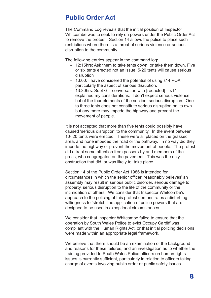#### **Public Order Act**

The Command Log reveals that the initial position of Inspector Whitcombe was to seek to rely on powers under the Public Order Act to remove the protest. Section 14 allows the police to place such restrictions where there is a threat of serious violence or serious disruption to the community.

The following entries appear in the command log:

- 12:15hrs: Ask them to take tents down, or take them down. Five or six tents erected not an issue, 5-20 tents will cause serious disruption
- 13:00: I have considered the potential of using s14 POA particularly the aspect of serious disruption.
- 13:30hrs: Supt G conversation with [redacted] s14 I explained my considerations. I don't expect serious violence but of the four elements of the section, serious disruption. One to three tents does not constitute serious disruption on its own but any more may impede the highway and prevent the movement of people.

It is not accepted that more than five tents could possibly have caused 'serious disruption' to the community. In the event between 10- 20 tents were erected. These were all placed on the grassed area, and none impeded the road or the pathway. In no way did they impede the highway or prevent the movement of people. The protest did attract some attention from passers-by and members of the press, who congregated on the pavement. This was the only obstruction that did, or was likely to, take place.

Section 14 of the Public Order Act 1986 is intended for circumstances in which the senior officer 'reasonably believes' an assembly may result in serious public disorder, serious damage to property, serious disruption to the life of the community or the intimidation of others. We consider that Inspector Whitcombe's approach to the policing of this protest demonstrates a disturbing willingness to 'stretch' the application of police powers that are designed to be used in exceptional circumstances.

We consider that Inspector Whitcombe failed to ensure that the operation by South Wales Police to evict Occupy Cardiff was compliant with the Human Rights Act, or that initial policing decisions were made within an appropriate legal framework.

We believe that there should be an examination of the background and reasons for these failures, and an investigation as to whether the training provided to South Wales Police officers on human rights issues is currently sufficient, particularly in relation to officers taking charge of events involving public order or public safety issues.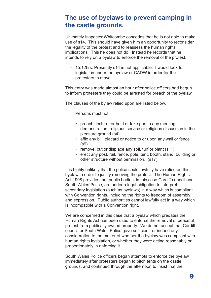#### **The use of byelaws to prevent camping in the castle grounds.**

Ultimately Inspector Whitcombe concedes that he is not able to make use of s14. This should have given him an opportunity to reconsider the legality of the protest and to reassess the human rights implications. This he does not do. Instead he records that he intends to rely on a byelaw to enforce the removal of the protest.

- 15:12hrs. Presently s14 is not applicable. I would look to legislation under the byelaw or CADW in order for the protesters to move.

This entry was made almost an hour after police officers had begun to inform protesters they could be arrested for breach of the byelaw.

The clauses of the bylaw relied upon are listed below.

Persons must not;

- preach, lecture, or hold or take part in any meeting, demonstration, religious service or religious discussion in the pleasure ground (s4)
- affix any bill, placard or notice to or upon any wall or fence (s9)
- remove, cut or displace any soil, turf or plant (s11)
- erect any post, rail, fence, pole, tent, booth, stand, building or other structure without permission. (s17)

It is highly unlikely that the police could lawfully have relied on this byelaw in order to justify removing the protest. The Human Rights Act 1998 provides that public bodies, in this case Cardiff council and South Wales Police, are under a legal obligation to interpret secondary legislation (such as byelaws) in a way which is compliant with Convention rights, including the rights to freedom of assembly and expression. Public authorities cannot lawfully act in a way which is incompatible with a Convention right.

We are concerned in this case that a byelaw which predates the Human Rights Act has been used to enforce the removal of peaceful protest from publically owned property. We do not accept that Cardiff council or South Wales Police gave sufficient, or indeed any, consideration to the matter of whether the byelaw was compliant with human rights legislation, or whether they were acting reasonably or proportionately in enforcing it.

South Wales Police officers began attempts to enforce the byelaw immediately after protesters began to pitch tents on the castle grounds, and continued through the afternoon to insist that the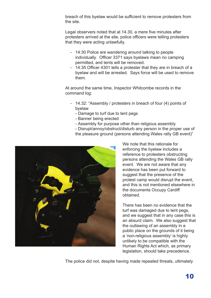breach of this byelaw would be sufficient to remove protesters from the site.

Legal observers noted that at 14.30, a mere five minutes after protesters arrived at the site, police officers were telling protesters that they were acting unlawfully.

- 14:30 Police are wandering around talking to people individually. Officer 3371 says byelaws mean no camping permitted, and tents will be removed.
- 14:35 Officer 4301 tells a protester that they are in breach of a byelaw and will be arrested. Says force will be used to remove them.

At around the same time, Inspector Whitcombe records in the command log:

- 14.32: "Assembly / protesters in breach of four (4) points of byelaw
	- Damage to turf due to tent pegs
	- Banner being erected
	- Assembly for purpose other than religious assembly
	- Disrupt/annoy/obstruct/disturb any person in the proper use of the pleasure ground (persons attending Wales rally GB event)"



We note that this rationale for enforcing the byelaw includes a reference to protesters obstructing persons attending the Wales GB rally event. We are not aware that any evidence has been put forward to suggest that the presence of the protest camp would disrupt the event, and this is not mentioned elsewhere in the documents Occupy Cardiff obtained.

There has been no evidence that the turf was damaged due to tent pegs, and we suggest that in any case this is an absurd claim. We also suggest that the outlawing of an assembly in a public place on the grounds of it being a 'non-religious assembly' is highly unlikely to be compatible with the Human Rights Act which, as primary legislation, should take precedence.

The police did not, despite having made repeated threats, ultimately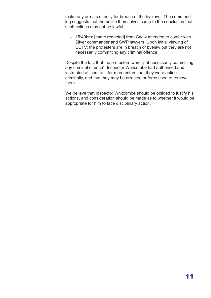make any arrests directly for breach of the byelaw. The command log suggests that the police themselves came to the conclusion that such actions may not be lawful;

- 15:40hrs: [name redacted] from Cadw attended to confer with Silver commander and SWP lawyers. Upon initial viewing of CCTV: the protesters are in breach of byelaw but they are not necessarily committing any criminal offence

Despite the fact that the protesters were "not necessarily committing any criminal offence", Inspector Whitcombe had authorised and instructed officers to inform protesters that they were acting criminally, and that they may be arrested or force used to remove them.

We believe that Inspector Whitcombe should be obliged to justify his actions, and consideration should be made as to whether it would be appropriate for him to face disciplinary action.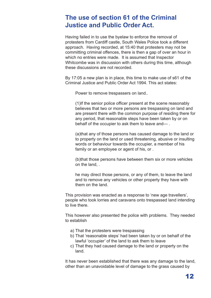#### **The use of section 61 of the Criminal Justice and Public Order Act.**

Having failed in to use the byelaw to enforce the removal of protesters from Cardiff castle, South Wales Police took a different approach. Having recorded, at 15:40 that protesters may not be committing criminal offences, there is then a gap of over an hour in which no entries were made. It is assumed that Inspector Whitcombe was in discussion with others during this time, although these discussions are not recorded.

By 17:05 a new plan is in place, this time to make use of s61 of the Criminal Justice and Public Order Act 1994. This act states:

Power to remove trespassers on land..

(1)If the senior police officer present at the scene reasonably believes that two or more persons are trespassing on land and are present there with the common purpose of residing there for any period, that reasonable steps have been taken by or on behalf of the occupier to ask them to leave and— .

(a)that any of those persons has caused damage to the land or to property on the land or used threatening, abusive or insulting words or behaviour towards the occupier, a member of his family or an employee or agent of his, or .

(b)that those persons have between them six or more vehicles on the land, .

he may direct those persons, or any of them, to leave the land and to remove any vehicles or other property they have with them on the land.

This provision was enacted as a response to 'new age travellers', people who took lorries and caravans onto trespassed land intending to live there.

This however also presented the police with problems. They needed to establish

- a) That the protesters were trespassing
- b) That 'reasonable steps' had been taken by or on behalf of the lawful 'occupier' of the land to ask them to leave
- c) That they had caused damage to the land or property on the land.

It has never been established that there was any damage to the land, other than an unavoidable level of damage to the grass caused by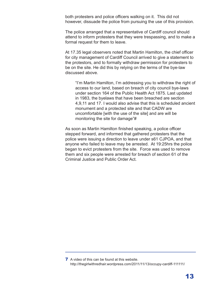both protesters and police officers walking on it. This did not however, dissuade the police from pursuing the use of this provision.

The police arranged that a representative of Cardiff council should attend to inform protesters that they were trespassing, and to make a formal request for them to leave.

At 17.35 legal observers noted that Martin Hamilton, the chief officer for city management of Cardiff Council arrived to give a statement to the protestors, and to formally withdraw permission for protesters to be on the site. He did this by relying on the terms of the bye-law discussed above.

"I'm Martin Hamilton, I'm addressing you to withdraw the right of access to our land, based on breach of city council bye-laws under section 164 of the Public Health Act 1875. Last updated in 1983, the byelaws that have been breached are section 4,9,11 and 17. I would also advise that this is scheduled ancient monument and a protected site and that CADW are uncomfortable [with the use of the site] and are will be monitoring the site for damage"#

As soon as Martin Hamilton finished speaking, a police officer stepped forward, and informed that gathered protesters that the police were issuing a direction to leave under s61 CJPOA, and that anyone who failed to leave may be arrested. At 19:25hrs the police began to evict protesters from the site. Force was used to remove them and six people were arrested for breach of section 61 of the Criminal Justice and Public Order Act.

<sup>7</sup> A video of this can be found at this website. http://thegirlwithredhair.wordpress.com/2011/11/13/occupy-cardiff-111111/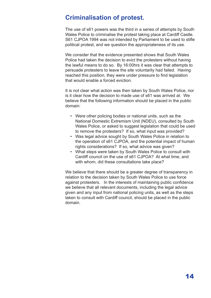#### **Criminalisation of protest.**

The use of s61 powers was the third in a series of attempts by South Wales Police to criminalise the protest taking place at Cardiff Castle. S61 CJPOA 1994 was not intended by Parliament to be used to stifle political protest, and we question the appropriateness of its use.

We consider that the evidence presented shows that South Wales Police had taken the decision to evict the protesters without having the lawful means to do so. By 16:00hrs it was clear that attempts to persuade protesters to leave the site voluntarily had failed. Having reached this position, they were under pressure to find legislation that would enable a forced eviction.

It is not clear what action was then taken by South Wales Police, nor is it clear how the decision to made use of s61 was arrived at. We believe that the following information should be placed in the public domain:

- Were other policing bodies or national units, such as the National Domestic Extremism Unit (NDEU), consulted by South Wales Police, or asked to suggest legislation that could be used to remove the protesters? If so, what input was provided?
- Was legal advice sought by South Wales Police in relation to the operation of s61 CJPOA, and the potential impact of human rights considerations? If so, what advice was given?
- What steps were taken by South Wales Police to consult with Cardiff council on the use of s61 CJPOA? At what time, and with whom, did these consultations take place?

We believe that there should be a greater degree of transparency in relation to the decision taken by South Wales Police to use force against protesters. In the interests of maintaining public confidence we believe that all relevant documents, including the legal advice given and any input from national policing units, as well as the steps taken to consult with Cardiff council, should be placed in the public domain.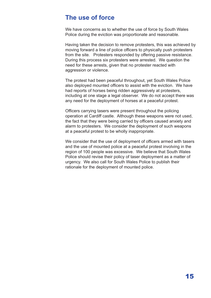#### **The use of force**

We have concerns as to whether the use of force by South Wales Police during the eviction was proportionate and reasonable.

Having taken the decision to remove protesters, this was achieved by moving forward a line of police officers to physically push protesters from the site. Protesters responded by offering passive resistance. During this process six protesters were arrested. We question the need for these arrests, given that no protester reacted with aggression or violence.

The protest had been peaceful throughout, yet South Wales Police also deployed mounted officers to assist with the eviction. We have had reports of horses being ridden aggressively at protesters, including at one stage a legal observer. We do not accept there was any need for the deployment of horses at a peaceful protest.

Officers carrying tasers were present throughout the policing operation at Cardiff castle. Although these weapons were not used, the fact that they were being carried by officers caused anxiety and alarm to protesters. We consider the deployment of such weapons at a peaceful protest to be wholly inappropriate.

We consider that the use of deployment of officers armed with tasers and the use of mounted police at a peaceful protest involving in the region of 100 people was excessive. We believe that South Wales Police should revise their policy of taser deployment as a matter of urgency. We also call for South Wales Police to publish their rationale for the deployment of mounted police.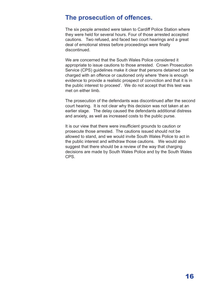#### **The prosecution of offences.**

The six people arrested were taken to Cardiff Police Station where they were held for several hours. Four of those arrested accepted cautions. Two refused, and faced two court hearings and a great deal of emotional stress before proceedings were finally discontinued.

We are concerned that the South Wales Police considered it appropriate to issue cautions to those arrested. Crown Prosecution Service (CPS) guidelines make it clear that persons detained can be charged with an offence or cautioned only where 'there is enough evidence to provide a realistic prospect of conviction and that it is in the public interest to proceed'. We do not accept that this test was met on either limb.

The prosecution of the defendants was discontinued after the second court hearing. It is not clear why this decision was not taken at an earlier stage. The delay caused the defendants additional distress and anxiety, as well as increased costs to the public purse.

It is our view that there were insufficient grounds to caution or prosecute those arrested. The cautions issued should not be allowed to stand, and we would invite South Wales Police to act in the public interest and withdraw those cautions. We would also suggest that there should be a review of the way that charging decisions are made by South Wales Police and by the South Wales CPS.